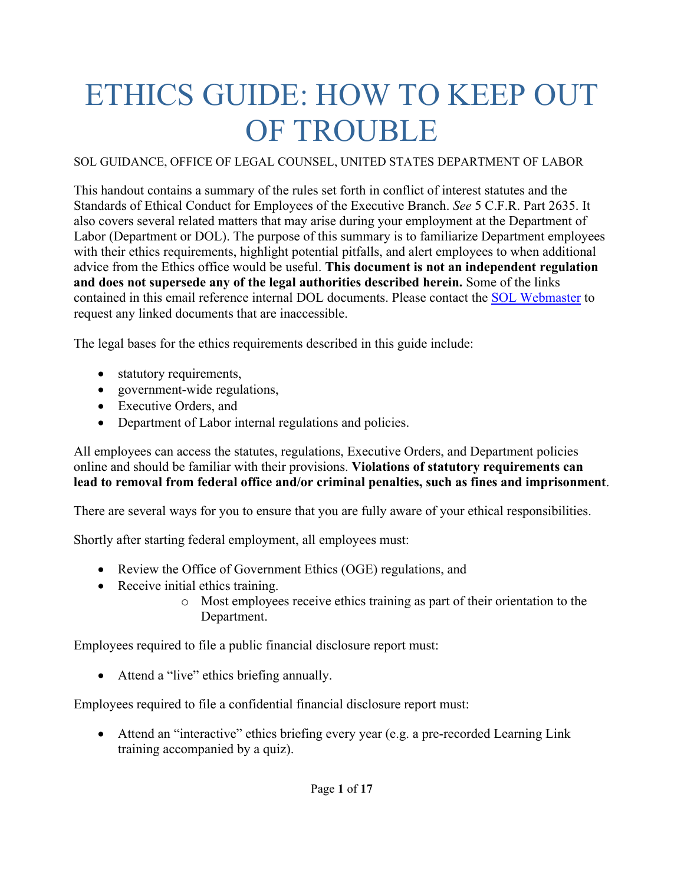# ETHICS GUIDE: HOW TO KEEP OUT OF TROUBLE

#### SOL GUIDANCE, OFFICE OF LEGAL COUNSEL, UNITED STATES DEPARTMENT OF LABOR

This handout contains a summary of the rules set forth in conflict of interest statutes and the Standards of Ethical Conduct for Employees of the Executive Branch. *See* 5 C.F.R. Part 2635. It also covers several related matters that may arise during your employment at the Department of Labor (Department or DOL). The purpose of this summary is to familiarize Department employees with their ethics requirements, highlight potential pitfalls, and alert employees to when additional advice from the Ethics office would be useful. **This document is not an independent regulation and does not supersede any of the legal authorities described herein.** Some of the links contained in this email reference internal DOL documents. Please contact the [SOL Webmaster](mailto:m-WebmasterSOL@dol.gov) to request any linked documents that are inaccessible.

The legal bases for the ethics requirements described in this guide include:

- statutory requirements,
- government-wide regulations,
- Executive Orders, and
- Department of Labor internal regulations and policies.

All employees can access the statutes, regulations, Executive Orders, and Department policies online and should be familiar with their provisions. **Violations of statutory requirements can lead to removal from federal office and/or criminal penalties, such as fines and imprisonment**.

There are several ways for you to ensure that you are fully aware of your ethical responsibilities.

Shortly after starting federal employment, all employees must:

- Review the Office of Government Ethics (OGE) regulations, and
- Receive initial ethics training.
	- o Most employees receive ethics training as part of their orientation to the Department.

Employees required to file a public financial disclosure report must:

• Attend a "live" ethics briefing annually.

Employees required to file a confidential financial disclosure report must:

• Attend an "interactive" ethics briefing every year (e.g. a pre-recorded Learning Link training accompanied by a quiz).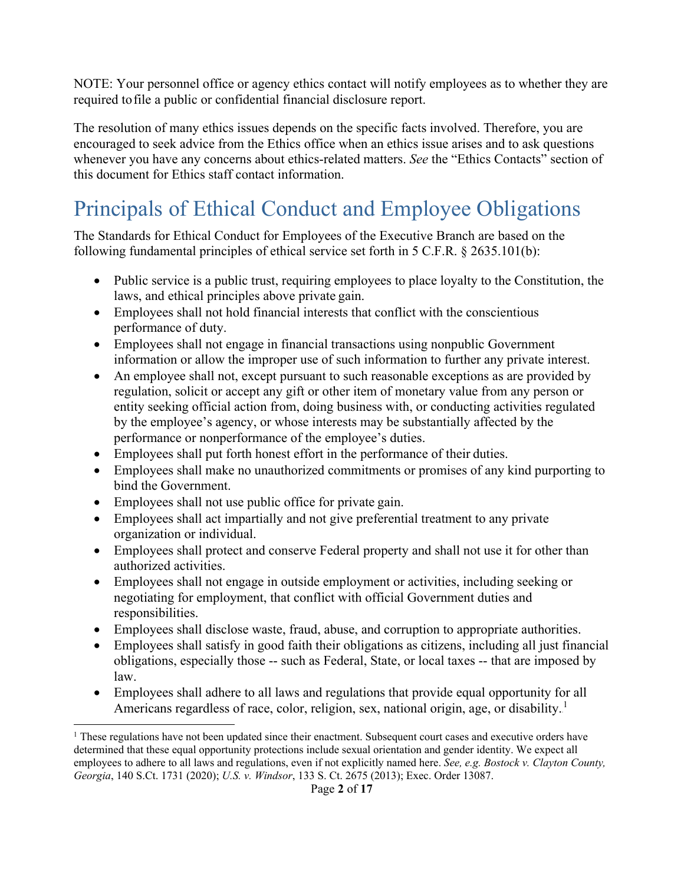NOTE: Your personnel office or agency ethics contact will notify employees as to whether they are required tofile a public or confidential financial disclosure report.

The resolution of many ethics issues depends on the specific facts involved. Therefore, you are encouraged to seek advice from the Ethics office when an ethics issue arises and to ask questions whenever you have any concerns about ethics-related matters. *See* the "Ethics Contacts" section of this document for Ethics staff contact information.

## Principals of Ethical Conduct and Employee Obligations

The Standards for Ethical Conduct for Employees of the Executive Branch are based on the following fundamental principles of ethical service set forth in 5 C.F.R. § 2635.101(b):

- Public service is a public trust, requiring employees to place loyalty to the Constitution, the laws, and ethical principles above private gain.
- Employees shall not hold financial interests that conflict with the conscientious performance of duty.
- Employees shall not engage in financial transactions using nonpublic Government information or allow the improper use of such information to further any private interest.
- An employee shall not, except pursuant to such reasonable exceptions as are provided by regulation, solicit or accept any gift or other item of monetary value from any person or entity seeking official action from, doing business with, or conducting activities regulated by the employee's agency, or whose interests may be substantially affected by the performance or nonperformance of the employee's duties.
- Employees shall put forth honest effort in the performance of their duties.
- Employees shall make no unauthorized commitments or promises of any kind purporting to bind the Government.
- Employees shall not use public office for private gain.
- Employees shall act impartially and not give preferential treatment to any private organization or individual.
- Employees shall protect and conserve Federal property and shall not use it for other than authorized activities.
- Employees shall not engage in outside employment or activities, including seeking or negotiating for employment, that conflict with official Government duties and responsibilities.
- Employees shall disclose waste, fraud, abuse, and corruption to appropriate authorities.
- Employees shall satisfy in good faith their obligations as citizens, including all just financial obligations, especially those -- such as Federal, State, or local taxes -- that are imposed by law.
- Employees shall adhere to all laws and regulations that provide equal opportunity for all Americans regardless of race, color, religion, sex, national origin, age, or disability.<sup>1</sup>

 $<sup>1</sup>$  These regulations have not been updated since their enactment. Subsequent court cases and executive orders have</sup> determined that these equal opportunity protections include sexual orientation and gender identity. We expect all employees to adhere to all laws and regulations, even if not explicitly named here. *See, e.g. Bostock v. Clayton County, Georgia*, 140 S.Ct. 1731 (2020); *U.S. v. Windsor*, 133 S. Ct. 2675 (2013); Exec. Order 13087.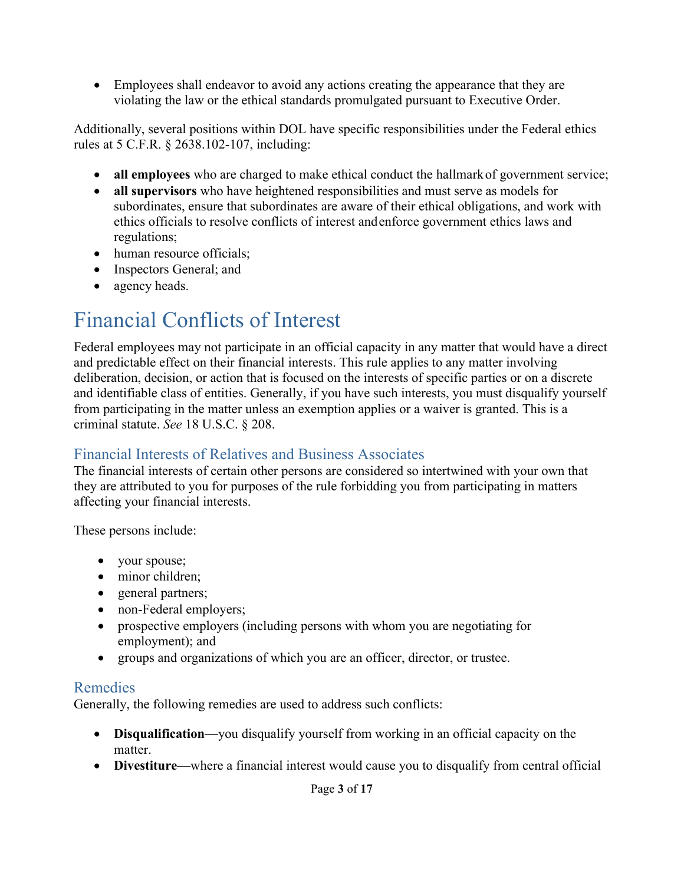• Employees shall endeavor to avoid any actions creating the appearance that they are violating the law or the ethical standards promulgated pursuant to Executive Order.

Additionally, several positions within DOL have specific responsibilities under the Federal ethics rules at 5 C.F.R. § 2638.102-107, including:

- **all employees** who are charged to make ethical conduct the hallmark of government service;
- **all supervisors** who have heightened responsibilities and must serve as models for subordinates, ensure that subordinates are aware of their ethical obligations, and work with ethics officials to resolve conflicts of interest andenforce government ethics laws and regulations;
- human resource officials:
- Inspectors General; and
- agency heads.

## Financial Conflicts of Interest

Federal employees may not participate in an official capacity in any matter that would have a direct and predictable effect on their financial interests. This rule applies to any matter involving deliberation, decision, or action that is focused on the interests of specific parties or on a discrete and identifiable class of entities. Generally, if you have such interests, you must disqualify yourself from participating in the matter unless an exemption applies or a waiver is granted. This is a criminal statute. *See* 18 U.S.C. § 208.

#### Financial Interests of Relatives and Business Associates

The financial interests of certain other persons are considered so intertwined with your own that they are attributed to you for purposes of the rule forbidding you from participating in matters affecting your financial interests.

These persons include:

- your spouse;
- minor children;
- general partners;
- non-Federal employers;
- prospective employers (including persons with whom you are negotiating for employment); and
- groups and organizations of which you are an officer, director, or trustee.

#### Remedies

Generally, the following remedies are used to address such conflicts:

- **Disqualification**—you disqualify yourself from working in an official capacity on the matter.
- **Divestiture**––where a financial interest would cause you to disqualify from central official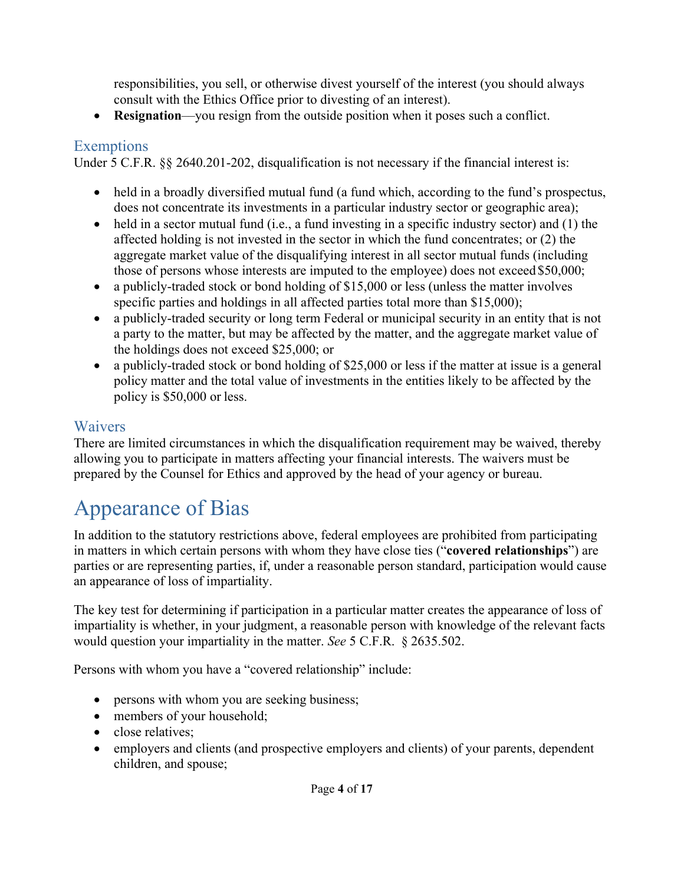responsibilities, you sell, or otherwise divest yourself of the interest (you should always consult with the Ethics Office prior to divesting of an interest).

• **Resignation**—you resign from the outside position when it poses such a conflict.

#### Exemptions

Under 5 C.F.R.  $\S$  2640.201-202, disqualification is not necessary if the financial interest is:

- held in a broadly diversified mutual fund (a fund which, according to the fund's prospectus, does not concentrate its investments in a particular industry sector or geographic area);
- held in a sector mutual fund (i.e., a fund investing in a specific industry sector) and (1) the affected holding is not invested in the sector in which the fund concentrates; or (2) the aggregate market value of the disqualifying interest in all sector mutual funds (including those of persons whose interests are imputed to the employee) does not exceed \$50,000;
- a publicly-traded stock or bond holding of \$15,000 or less (unless the matter involves specific parties and holdings in all affected parties total more than \$15,000);
- a publicly-traded security or long term Federal or municipal security in an entity that is not a party to the matter, but may be affected by the matter, and the aggregate market value of the holdings does not exceed \$25,000; or
- a publicly-traded stock or bond holding of \$25,000 or less if the matter at issue is a general policy matter and the total value of investments in the entities likely to be affected by the policy is \$50,000 or less.

### Waivers

There are limited circumstances in which the disqualification requirement may be waived, thereby allowing you to participate in matters affecting your financial interests. The waivers must be prepared by the Counsel for Ethics and approved by the head of your agency or bureau.

## Appearance of Bias

In addition to the statutory restrictions above, federal employees are prohibited from participating in matters in which certain persons with whom they have close ties ("**covered relationships**") are parties or are representing parties, if, under a reasonable person standard, participation would cause an appearance of loss of impartiality.

The key test for determining if participation in a particular matter creates the appearance of loss of impartiality is whether, in your judgment, a reasonable person with knowledge of the relevant facts would question your impartiality in the matter. *See* 5 C.F.R. § 2635.502.

Persons with whom you have a "covered relationship" include:

- persons with whom you are seeking business;
- members of your household;
- close relatives:
- employers and clients (and prospective employers and clients) of your parents, dependent children, and spouse;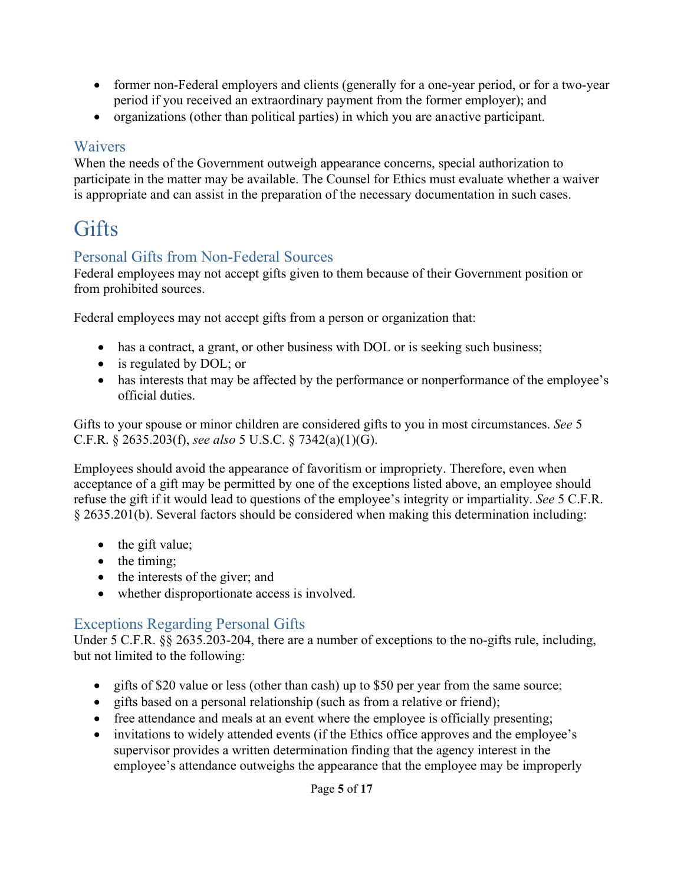- former non-Federal employers and clients (generally for a one-year period, or for a two-year period if you received an extraordinary payment from the former employer); and
- organizations (other than political parties) in which you are anactive participant.

#### Waivers

When the needs of the Government outweigh appearance concerns, special authorization to participate in the matter may be available. The Counsel for Ethics must evaluate whether a waiver is appropriate and can assist in the preparation of the necessary documentation in such cases.

## **Gifts**

### Personal Gifts from Non-Federal Sources

Federal employees may not accept gifts given to them because of their Government position or from prohibited sources.

Federal employees may not accept gifts from a person or organization that:

- has a contract, a grant, or other business with DOL or is seeking such business;
- is regulated by DOL; or
- has interests that may be affected by the performance or nonperformance of the employee's official duties.

Gifts to your spouse or minor children are considered gifts to you in most circumstances. *See* 5 C.F.R. § 2635.203(f), *see also* 5 U.S.C. § 7342(a)(1)(G).

Employees should avoid the appearance of favoritism or impropriety. Therefore, even when acceptance of a gift may be permitted by one of the exceptions listed above, an employee should refuse the gift if it would lead to questions of the employee's integrity or impartiality. *See* 5 C.F.R. § 2635.201(b). Several factors should be considered when making this determination including:

- the gift value;
- the timing;
- the interests of the giver; and
- whether disproportionate access is involved.

#### Exceptions Regarding Personal Gifts

Under 5 C.F.R.  $\S$  2635.203-204, there are a number of exceptions to the no-gifts rule, including, but not limited to the following:

- gifts of \$20 value or less (other than cash) up to \$50 per year from the same source;
- gifts based on a personal relationship (such as from a relative or friend);
- free attendance and meals at an event where the employee is officially presenting;
- invitations to widely attended events (if the Ethics office approves and the employee's supervisor provides a written determination finding that the agency interest in the employee's attendance outweighs the appearance that the employee may be improperly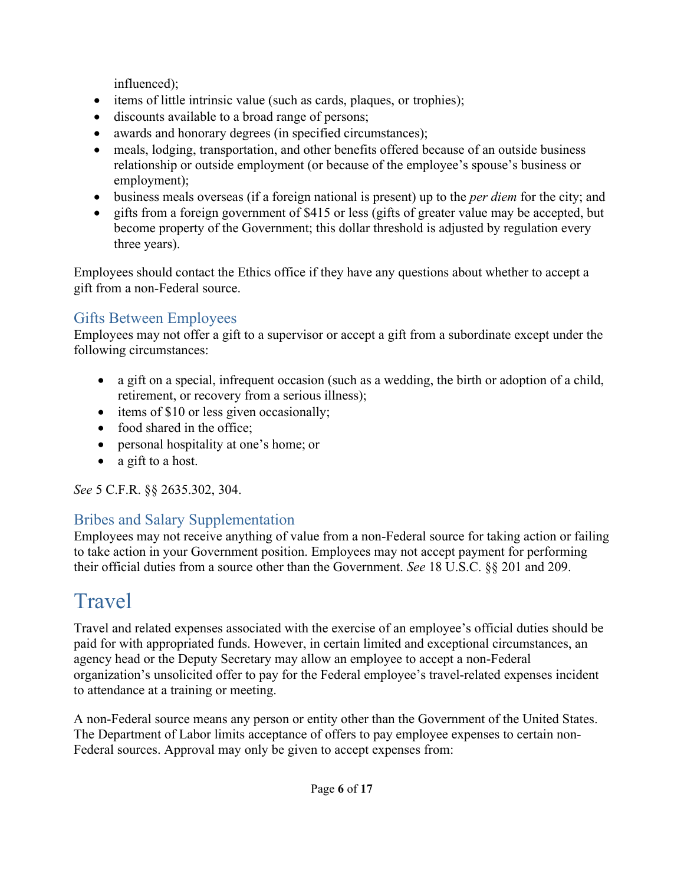influenced);

- items of little intrinsic value (such as cards, plaques, or trophies);
- discounts available to a broad range of persons;
- awards and honorary degrees (in specified circumstances);
- meals, lodging, transportation, and other benefits offered because of an outside business relationship or outside employment (or because of the employee's spouse's business or employment);
- business meals overseas (if a foreign national is present) up to the *per diem* for the city; and
- gifts from a foreign government of \$415 or less (gifts of greater value may be accepted, but become property of the Government; this dollar threshold is adjusted by regulation every three years).

Employees should contact the Ethics office if they have any questions about whether to accept a gift from a non-Federal source.

### Gifts Between Employees

Employees may not offer a gift to a supervisor or accept a gift from a subordinate except under the following circumstances:

- a gift on a special, infrequent occasion (such as a wedding, the birth or adoption of a child, retirement, or recovery from a serious illness);
- items of \$10 or less given occasionally;
- food shared in the office;
- personal hospitality at one's home; or
- a gift to a host.

*See* 5 C.F.R. §§ 2635.302, 304.

### Bribes and Salary Supplementation

Employees may not receive anything of value from a non-Federal source for taking action or failing to take action in your Government position. Employees may not accept payment for performing their official duties from a source other than the Government. *See* 18 U.S.C. §§ 201 and 209.

## **Travel**

Travel and related expenses associated with the exercise of an employee's official duties should be paid for with appropriated funds. However, in certain limited and exceptional circumstances, an agency head or the Deputy Secretary may allow an employee to accept a non-Federal organization's unsolicited offer to pay for the Federal employee's travel-related expenses incident to attendance at a training or meeting.

A non-Federal source means any person or entity other than the Government of the United States. The Department of Labor limits acceptance of offers to pay employee expenses to certain non-Federal sources. Approval may only be given to accept expenses from: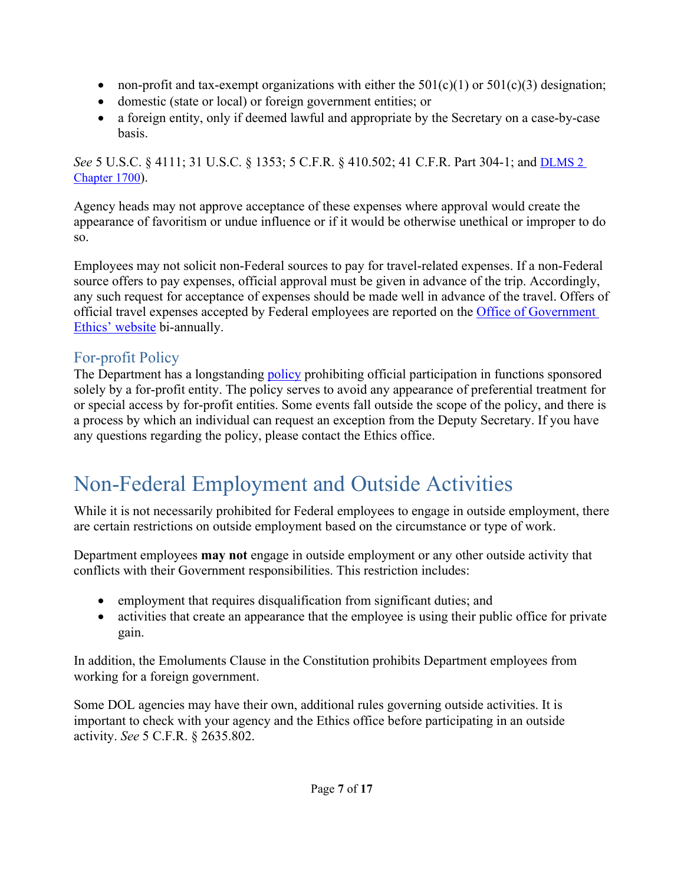- non-profit and tax-exempt organizations with either the  $501(c)(1)$  or  $501(c)(3)$  designation;
- domestic (state or local) or foreign government entities; or
- a foreign entity, only if deemed lawful and appropriate by the Secretary on a case-by-case basis.

*See* 5 U.S.C. § 4111; 31 U.S.C. § 1353; 5 C.F.R. § 410.502; 41 C.F.R. Part 304-1; and **DLMS 2** [Chapter 1700\)](https://labornet.dol.gov/workplaceresources/policies/DLMS/DLMS02/dlms2-1700.htm).

Agency heads may not approve acceptance of these expenses where approval would create the appearance of favoritism or undue influence or if it would be otherwise unethical or improper to do so.

Employees may not solicit non-Federal sources to pay for travel-related expenses. If a non-Federal source offers to pay expenses, official approval must be given in advance of the trip. Accordingly, any such request for acceptance of expenses should be made well in advance of the travel. Offers of official travel expenses accepted by Federal employees are reported on the [Office of Government](https://www.oge.gov/Web/OGE.nsf/All%20Travel%20Reports)  [Ethics' website](https://www.oge.gov/Web/OGE.nsf/All%20Travel%20Reports) bi-annually.

### For-profit Policy

The Department has a longstanding [policy](https://labornet.dol.gov/newsletters/ethics/docs/SOL-For-Profit-Policy.pdf) prohibiting official participation in functions sponsored solely by a for-profit entity. The policy serves to avoid any appearance of preferential treatment for or special access by for-profit entities. Some events fall outside the scope of the policy, and there is a process by which an individual can request an exception from the Deputy Secretary. If you have any questions regarding the policy, please contact the Ethics office.

## Non-Federal Employment and Outside Activities

While it is not necessarily prohibited for Federal employees to engage in outside employment, there are certain restrictions on outside employment based on the circumstance or type of work.

Department employees **may not** engage in outside employment or any other outside activity that conflicts with their Government responsibilities. This restriction includes:

- employment that requires disqualification from significant duties; and
- activities that create an appearance that the employee is using their public office for private gain.

In addition, the Emoluments Clause in the Constitution prohibits Department employees from working for a foreign government.

Some DOL agencies may have their own, additional rules governing outside activities. It is important to check with your agency and the Ethics office before participating in an outside activity. *See* 5 C.F.R. § 2635.802.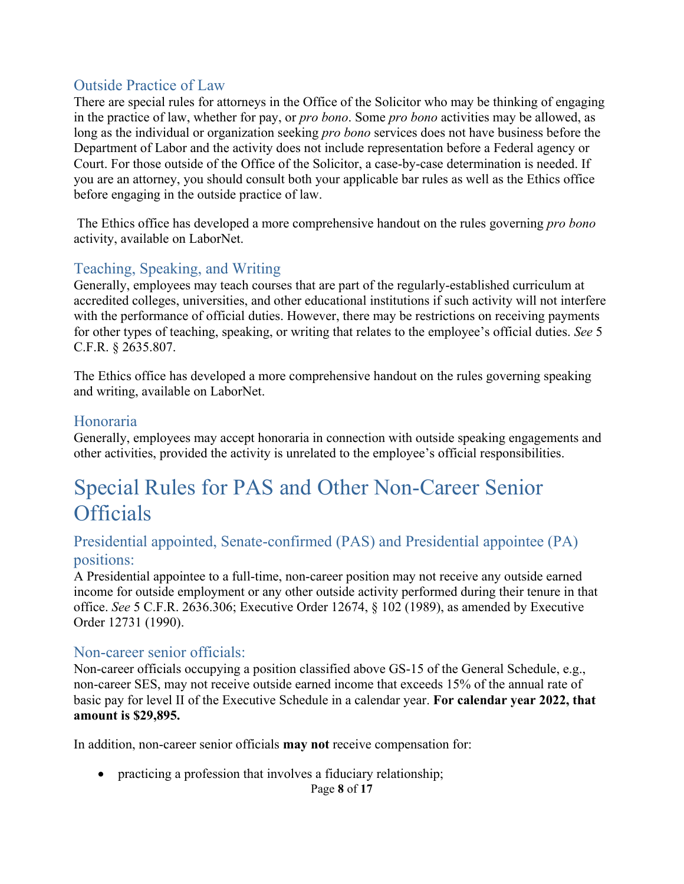#### Outside Practice of Law

There are special rules for attorneys in the Office of the Solicitor who may be thinking of engaging in the practice of law, whether for pay, or *pro bono*. Some *pro bono* activities may be allowed, as long as the individual or organization seeking *pro bono* services does not have business before the Department of Labor and the activity does not include representation before a Federal agency or Court. For those outside of the Office of the Solicitor, a case-by-case determination is needed. If you are an attorney, you should consult both your applicable bar rules as well as the Ethics office before engaging in the outside practice of law.

The Ethics office has developed a more comprehensive handout on the rules governing *pro bono*  activity, available on LaborNet.

#### Teaching, Speaking, and Writing

Generally, employees may teach courses that are part of the regularly-established curriculum at accredited colleges, universities, and other educational institutions if such activity will not interfere with the performance of official duties. However, there may be restrictions on receiving payments for other types of teaching, speaking, or writing that relates to the employee's official duties. *See* 5 C.F.R. § 2635.807.

The Ethics office has developed a more comprehensive handout on the rules governing speaking and writing, available on LaborNet.

#### Honoraria

Generally, employees may accept honoraria in connection with outside speaking engagements and other activities, provided the activity is unrelated to the employee's official responsibilities.

### Special Rules for PAS and Other Non-Career Senior **Officials**

#### Presidential appointed, Senate-confirmed (PAS) and Presidential appointee (PA) positions:

A Presidential appointee to a full-time, non-career position may not receive any outside earned income for outside employment or any other outside activity performed during their tenure in that office. *See* 5 C.F.R. 2636.306; Executive Order 12674, § 102 (1989), as amended by Executive Order 12731 (1990).

#### Non-career senior officials:

Non-career officials occupying a position classified above GS-15 of the General Schedule, e.g., non-career SES, may not receive outside earned income that exceeds 15% of the annual rate of basic pay for level II of the Executive Schedule in a calendar year. **For calendar year 2022, that amount is \$29,895.**

In addition, non-career senior officials **may not** receive compensation for:

• practicing a profession that involves a fiduciary relationship;

Page **8** of **17**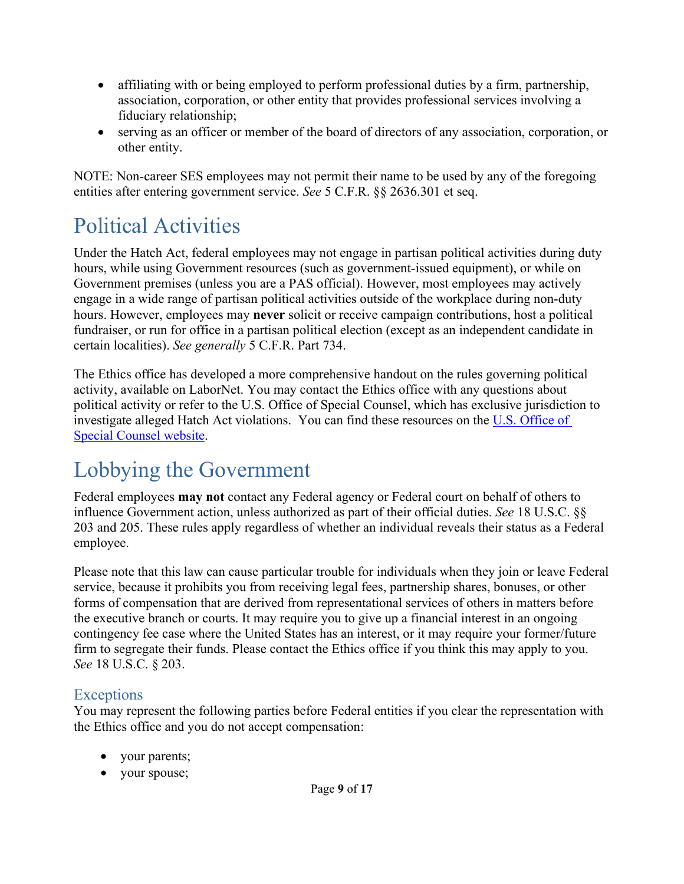- affiliating with or being employed to perform professional duties by a firm, partnership, association, corporation, or other entity that provides professional services involving a fiduciary relationship;
- serving as an officer or member of the board of directors of any association, corporation, or other entity.

NOTE: Non-career SES employees may not permit their name to be used by any of the foregoing entities after entering government service. *See* 5 C.F.R. §§ 2636.301 et seq.

## Political Activities

Under the Hatch Act, federal employees may not engage in partisan political activities during duty hours, while using Government resources (such as government-issued equipment), or while on Government premises (unless you are a PAS official). However, most employees may actively engage in a wide range of partisan political activities outside of the workplace during non-duty hours. However, employees may **never** solicit or receive campaign contributions, host a political fundraiser, or run for office in a partisan political election (except as an independent candidate in certain localities). *See generally* 5 C.F.R. Part 734.

The Ethics office has developed a more comprehensive handout on the rules governing political activity, available on LaborNet. You may contact the Ethics office with any questions about political activity or refer to the U.S. Office of Special Counsel, which has exclusive jurisdiction to investigate alleged Hatch Act violations. You can find these resources on the [U.S. Office of](https://osc.gov/Services/Pages/HatchAct-Federal.aspx)  [Special Counsel website.](https://osc.gov/Services/Pages/HatchAct-Federal.aspx)

## Lobbying the Government

Federal employees **may not** contact any Federal agency or Federal court on behalf of others to influence Government action, unless authorized as part of their official duties. *See* 18 U.S.C. §§ 203 and 205. These rules apply regardless of whether an individual reveals their status as a Federal employee.

Please note that this law can cause particular trouble for individuals when they join or leave Federal service, because it prohibits you from receiving legal fees, partnership shares, bonuses, or other forms of compensation that are derived from representational services of others in matters before the executive branch or courts. It may require you to give up a financial interest in an ongoing contingency fee case where the United States has an interest, or it may require your former/future firm to segregate their funds. Please contact the Ethics office if you think this may apply to you. *See* 18 U.S.C. § 203.

### **Exceptions**

You may represent the following parties before Federal entities if you clear the representation with the Ethics office and you do not accept compensation:

- your parents;
- your spouse;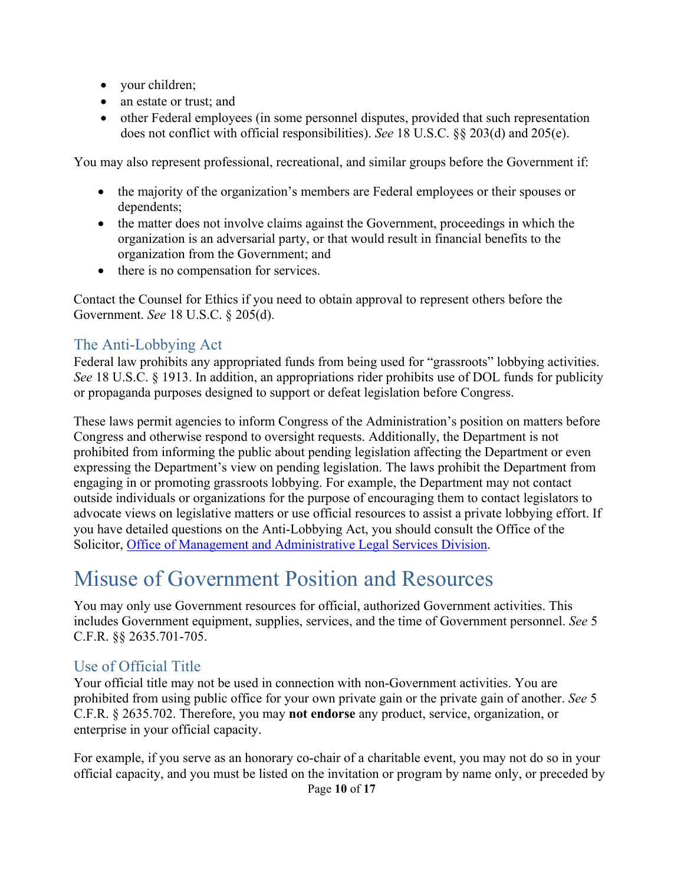- your children;
- an estate or trust; and
- other Federal employees (in some personnel disputes, provided that such representation does not conflict with official responsibilities). *See* 18 U.S.C. §§ 203(d) and 205(e).

You may also represent professional, recreational, and similar groups before the Government if:

- the majority of the organization's members are Federal employees or their spouses or dependents;
- the matter does not involve claims against the Government, proceedings in which the organization is an adversarial party, or that would result in financial benefits to the organization from the Government; and
- there is no compensation for services.

Contact the Counsel for Ethics if you need to obtain approval to represent others before the Government. *See* 18 U.S.C. § 205(d).

#### The Anti-Lobbying Act

Federal law prohibits any appropriated funds from being used for "grassroots" lobbying activities. *See* 18 U.S.C. § 1913. In addition, an appropriations rider prohibits use of DOL funds for publicity or propaganda purposes designed to support or defeat legislation before Congress.

These laws permit agencies to inform Congress of the Administration's position on matters before Congress and otherwise respond to oversight requests. Additionally, the Department is not prohibited from informing the public about pending legislation affecting the Department or even expressing the Department's view on pending legislation. The laws prohibit the Department from engaging in or promoting grassroots lobbying. For example, the Department may not contact outside individuals or organizations for the purpose of encouraging them to contact legislators to advocate views on legislative matters or use official resources to assist a private lobbying effort. If you have detailed questions on the Anti-Lobbying Act, you should consult the Office of the Solicitor, [Office of Management and Administrative Legal Services Division.](https://www.dol.gov/agencies/sol/divisions/management-administrative-legal-services)

### Misuse of Government Position and Resources

You may only use Government resources for official, authorized Government activities. This includes Government equipment, supplies, services, and the time of Government personnel. *See* 5 C.F.R. §§ 2635.701-705.

#### Use of Official Title

Your official title may not be used in connection with non-Government activities. You are prohibited from using public office for your own private gain or the private gain of another. *See* 5 C.F.R. § 2635.702. Therefore, you may **not endorse** any product, service, organization, or enterprise in your official capacity.

Page **10** of **17** For example, if you serve as an honorary co-chair of a charitable event, you may not do so in your official capacity, and you must be listed on the invitation or program by name only, or preceded by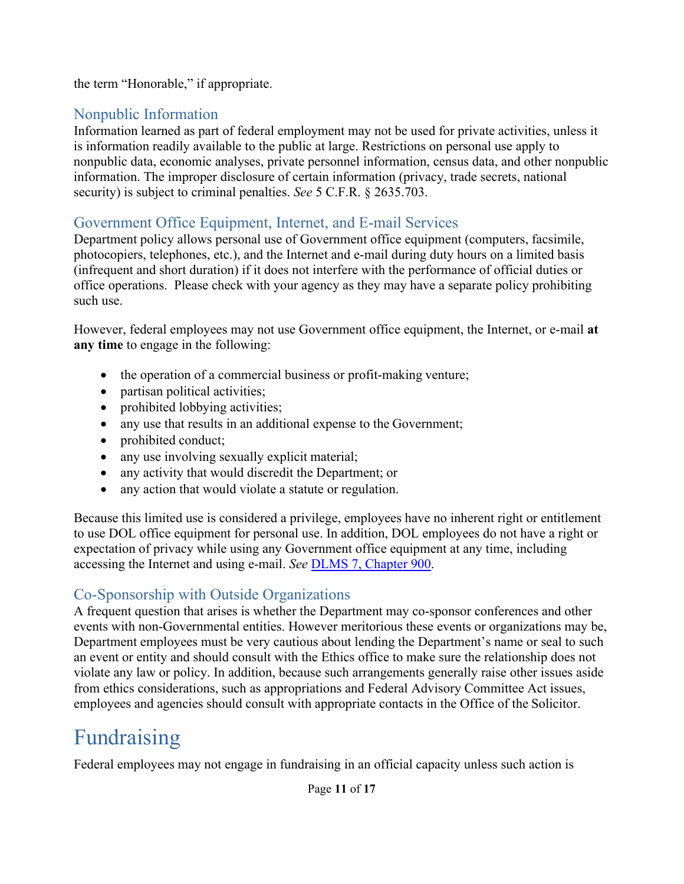the term "Honorable," if appropriate.

#### Nonpublic Information

Information learned as part of federal employment may not be used for private activities, unless it is information readily available to the public at large. Restrictions on personal use apply to nonpublic data, economic analyses, private personnel information, census data, and other nonpublic information. The improper disclosure of certain information (privacy, trade secrets, national security) is subject to criminal penalties. *See* 5 C.F.R. § 2635.703.

#### Government Office Equipment, Internet, and E-mail Services

Department policy allows personal use of Government office equipment (computers, facsimile, photocopiers, telephones, etc.), and the Internet and e-mail during duty hours on a limited basis (infrequent and short duration) if it does not interfere with the performance of official duties or office operations. Please check with your agency as they may have a separate policy prohibiting such use.

However, federal employees may not use Government office equipment, the Internet, or e-mail **at any time** to engage in the following:

- the operation of a commercial business or profit-making venture;
- partisan political activities;
- prohibited lobbying activities;
- any use that results in an additional expense to the Government;
- prohibited conduct;
- any use involving sexually explicit material;
- any activity that would discredit the Department; or
- any action that would violate a statute or regulation.

Because this limited use is considered a privilege, employees have no inherent right or entitlement to use DOL office equipment for personal use. In addition, DOL employees do not have a right or expectation of privacy while using any Government office equipment at any time, including accessing the Internet and using e-mail. *See* [DLMS 7, Chapter 900.](https://labornet.dol.gov/workplaceresources/policies/DLMS/DLMS07/dlms7-0900.htm)

### Co-Sponsorship with Outside Organizations

A frequent question that arises is whether the Department may co-sponsor conferences and other events with non-Governmental entities. However meritorious these events or organizations may be, Department employees must be very cautious about lending the Department's name or seal to such an event or entity and should consult with the Ethics office to make sure the relationship does not violate any law or policy. In addition, because such arrangements generally raise other issues aside from ethics considerations, such as appropriations and Federal Advisory Committee Act issues, employees and agencies should consult with appropriate contacts in the Office of the Solicitor.

## Fundraising

Federal employees may not engage in fundraising in an official capacity unless such action is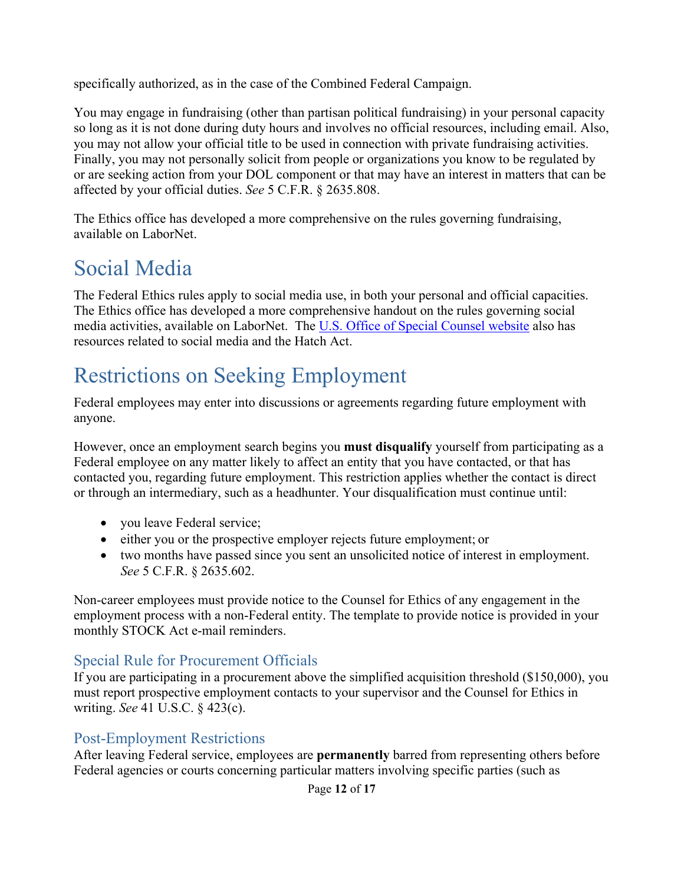specifically authorized, as in the case of the Combined Federal Campaign.

You may engage in fundraising (other than partisan political fundraising) in your personal capacity so long as it is not done during duty hours and involves no official resources, including email. Also, you may not allow your official title to be used in connection with private fundraising activities. Finally, you may not personally solicit from people or organizations you know to be regulated by or are seeking action from your DOL component or that may have an interest in matters that can be affected by your official duties. *See* 5 C.F.R. § 2635.808.

The Ethics office has developed a more comprehensive on the rules governing fundraising, available on LaborNet.

## Social Media

The Federal Ethics rules apply to social media use, in both your personal and official capacities. The Ethics office has developed a more comprehensive [handout](https://labornet.dol.gov/me/hr/ethics/Ethics-and-Use-of-Social-Media.pdf) on the rules governing social media activities, available on LaborNet. The [U.S. Office of Special Counsel website](https://osc.gov/Services/Pages/HatchAct-Resources.aspx#tabGroup02) also has resources related to social media and the Hatch Act.

## Restrictions on Seeking Employment

Federal employees may enter into discussions or agreements regarding future employment with anyone.

However, once an employment search begins you **must disqualify** yourself from participating as a Federal employee on any matter likely to affect an entity that you have contacted, or that has contacted you, regarding future employment. This restriction applies whether the contact is direct or through an intermediary, such as a headhunter. Your disqualification must continue until:

- you leave Federal service;
- either you or the prospective employer rejects future employment; or
- two months have passed since you sent an unsolicited notice of interest in employment. *See* 5 C.F.R. § 2635.602.

Non-career employees must provide notice to the Counsel for Ethics of any engagement in the employment process with a non-Federal entity. The template to provide notice is provided in your monthly STOCK Act e-mail reminders.

#### Special Rule for Procurement Officials

If you are participating in a procurement above the simplified acquisition threshold (\$150,000), you must report prospective employment contacts to your supervisor and the Counsel for Ethics in writing. *See* 41 U.S.C. § 423(c).

#### Post-Employment Restrictions

After leaving Federal service, employees are **permanently** barred from representing others before Federal agencies or courts concerning particular matters involving specific parties (such as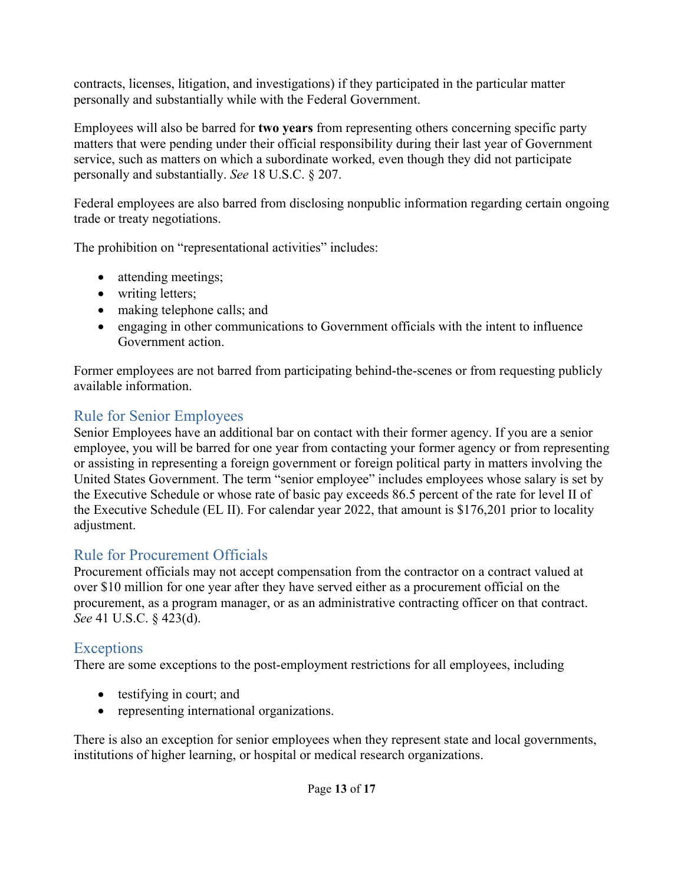contracts, licenses, litigation, and investigations) if they participated in the particular matter personally and substantially while with the Federal Government.

Employees will also be barred for **two years** from representing others concerning specific party matters that were pending under their official responsibility during their last year of Government service, such as matters on which a subordinate worked, even though they did not participate personally and substantially. *See* 18 U.S.C. § 207.

Federal employees are also barred from disclosing nonpublic information regarding certain ongoing trade or treaty negotiations.

The prohibition on "representational activities" includes:

- attending meetings;
- writing letters;
- making telephone calls; and
- engaging in other communications to Government officials with the intent to influence Government action.

Former employees are not barred from participating behind-the-scenes or from requesting publicly available information.

### Rule for Senior Employees

Senior Employees have an additional bar on contact with their former agency. If you are a senior employee, you will be barred for one year from contacting your former agency or from representing or assisting in representing a foreign government or foreign political party in matters involving the United States Government. The term "senior employee" includes employees whose salary is set by the Executive Schedule or whose rate of basic pay exceeds 86.5 percent of the rate for level II of the Executive Schedule (EL II). For calendar year 2022, that amount is \$176,201 prior to locality adjustment.

### Rule for Procurement Officials

Procurement officials may not accept compensation from the contractor on a contract valued at over \$10 million for one year after they have served either as a procurement official on the procurement, as a program manager, or as an administrative contracting officer on that contract. *See* 41 U.S.C. § 423(d).

### Exceptions

There are some exceptions to the post-employment restrictions for all employees, including

- testifying in court; and
- representing international organizations.

There is also an exception for senior employees when they represent state and local governments, institutions of higher learning, or hospital or medical research organizations.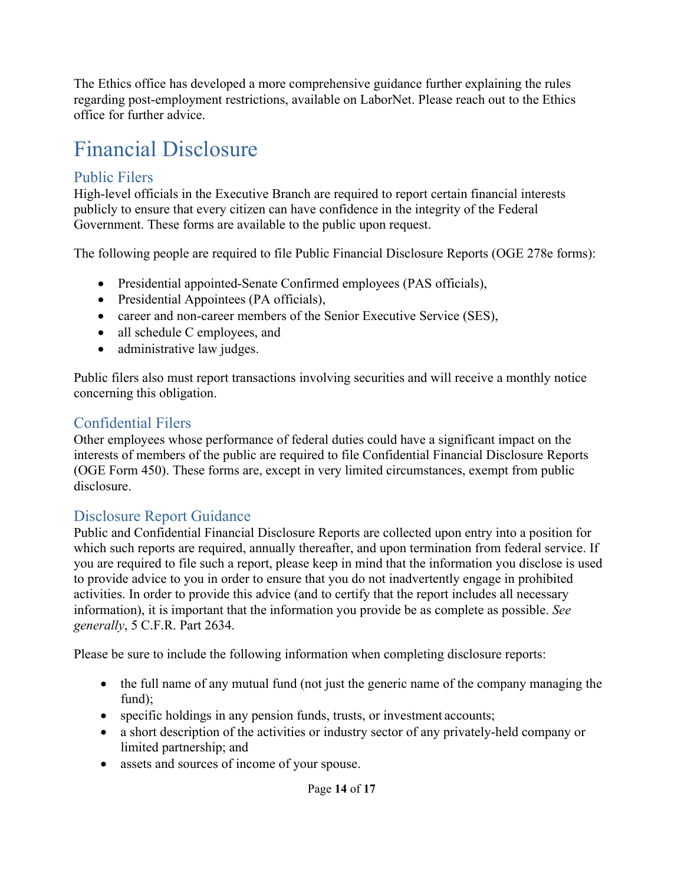The Ethics office has developed a more comprehensive guidance further explaining the rules regarding post-employment restrictions, available on LaborNet. Please reach out to the Ethics office for further advice.

## Financial Disclosure

### Public Filers

High-level officials in the Executive Branch are required to report certain financial interests publicly to ensure that every citizen can have confidence in the integrity of the Federal Government. These forms are available to the public upon request.

The following people are required to file Public Financial Disclosure Reports (OGE 278e forms):

- Presidential appointed-Senate Confirmed employees (PAS officials),
- Presidential Appointees (PA officials),
- career and non-career members of the Senior Executive Service (SES),
- all schedule C employees, and
- administrative law judges.

Public filers also must report transactions involving securities and will receive a monthly notice concerning this obligation.

### Confidential Filers

Other employees whose performance of federal duties could have a significant impact on the interests of members of the public are required to file Confidential Financial Disclosure Reports (OGE Form 450). These forms are, except in very limited circumstances, exempt from public disclosure.

### Disclosure Report Guidance

Public and Confidential Financial Disclosure Reports are collected upon entry into a position for which such reports are required, annually thereafter, and upon termination from federal service. If you are required to file such a report, please keep in mind that the information you disclose is used to provide advice to you in order to ensure that you do not inadvertently engage in prohibited activities. In order to provide this advice (and to certify that the report includes all necessary information), it is important that the information you provide be as complete as possible. *See generally*, 5 C.F.R. Part 2634.

Please be sure to include the following information when completing disclosure reports:

- the full name of any mutual fund (not just the generic name of the company managing the fund);
- specific holdings in any pension funds, trusts, or investment accounts;
- a short description of the activities or industry sector of any privately-held company or limited partnership; and
- assets and sources of income of your spouse.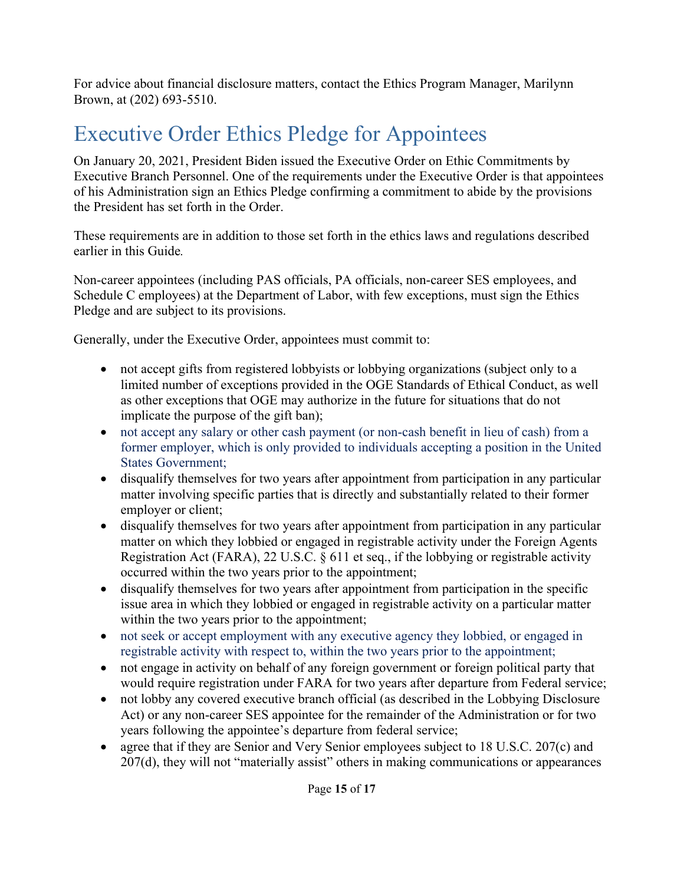For advice about financial disclosure matters, contact the Ethics Program Manager, Marilynn Brown, at (202) 693-5510.

## Executive Order Ethics Pledge for Appointees

On January 20, 2021, President Biden issued the Executive Order on Ethic Commitments by Executive Branch Personnel. One of the requirements under the Executive Order is that appointees of his Administration sign an Ethics Pledge confirming a commitment to abide by the provisions the President has set forth in the Order.

These requirements are in addition to those set forth in the ethics laws and regulations described earlier in this Guide*.* 

Non-career appointees (including PAS officials, PA officials, non-career SES employees, and Schedule C employees) at the Department of Labor, with few exceptions, must sign the Ethics Pledge and are subject to its provisions.

Generally, under the Executive Order, appointees must commit to:

- not accept gifts from registered lobbyists or lobbying organizations (subject only to a limited number of exceptions provided in the OGE Standards of Ethical Conduct, as well as other exceptions that OGE may authorize in the future for situations that do not implicate the purpose of the gift ban);
- not accept any salary or other cash payment (or non-cash benefit in lieu of cash) from a former employer, which is only provided to individuals accepting a position in the United States Government;
- disqualify themselves for two years after appointment from participation in any particular matter involving specific parties that is directly and substantially related to their former employer or client;
- disqualify themselves for two years after appointment from participation in any particular matter on which they lobbied or engaged in registrable activity under the Foreign Agents Registration Act (FARA), 22 U.S.C. § 611 et seq., if the lobbying or registrable activity occurred within the two years prior to the appointment;
- disqualify themselves for two years after appointment from participation in the specific issue area in which they lobbied or engaged in registrable activity on a particular matter within the two years prior to the appointment;
- not seek or accept employment with any executive agency they lobbied, or engaged in registrable activity with respect to, within the two years prior to the appointment;
- not engage in activity on behalf of any foreign government or foreign political party that would require registration under FARA for two years after departure from Federal service;
- not lobby any covered executive branch official (as described in the Lobbying Disclosure Act) or any non-career SES appointee for the remainder of the Administration or for two years following the appointee's departure from federal service;
- agree that if they are Senior and Very Senior employees subject to 18 U.S.C. 207(c) and 207(d), they will not "materially assist" others in making communications or appearances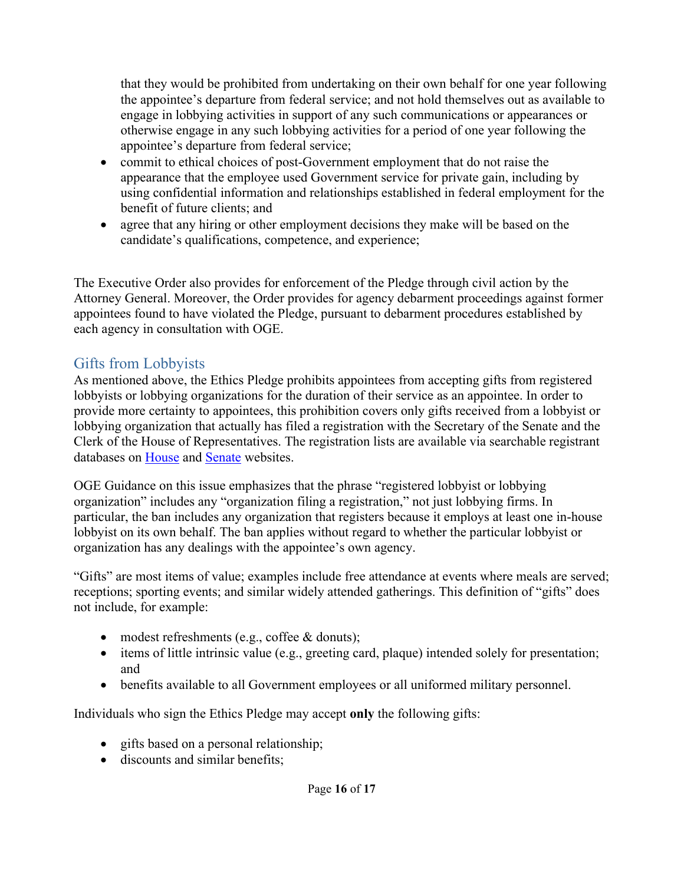that they would be prohibited from undertaking on their own behalf for one year following the appointee's departure from federal service; and not hold themselves out as available to engage in lobbying activities in support of any such communications or appearances or otherwise engage in any such lobbying activities for a period of one year following the appointee's departure from federal service;

- commit to ethical choices of post-Government employment that do not raise the appearance that the employee used Government service for private gain, including by using confidential information and relationships established in federal employment for the benefit of future clients; and
- agree that any hiring or other employment decisions they make will be based on the candidate's qualifications, competence, and experience;

The Executive Order also provides for enforcement of the Pledge through civil action by the Attorney General. Moreover, the Order provides for agency debarment proceedings against former appointees found to have violated the Pledge, pursuant to debarment procedures established by each agency in consultation with OGE.

### Gifts from Lobbyists

As mentioned above, the Ethics Pledge prohibits appointees from accepting gifts from registered lobbyists or lobbying organizations for the duration of their service as an appointee. In order to provide more certainty to appointees, this prohibition covers only gifts received from a lobbyist or lobbying organization that actually has filed a registration with the Secretary of the Senate and the Clerk of the House of Representatives. The registration lists are available via searchable registrant databases on [House](http://lobbyingdisclosure.house.gov/) and [Senate](https://lda.senate.gov/filings/public/filing/search/) websites.

OGE Guidance on this issue emphasizes that the phrase "registered lobbyist or lobbying organization" includes any "organization filing a registration," not just lobbying firms. In particular, the ban includes any organization that registers because it employs at least one in-house lobbyist on its own behalf. The ban applies without regard to whether the particular lobbyist or organization has any dealings with the appointee's own agency.

"Gifts" are most items of value; examples include free attendance at events where meals are served; receptions; sporting events; and similar widely attended gatherings. This definition of "gifts" does not include, for example:

- modest refreshments (e.g., coffee & donuts);
- items of little intrinsic value (e.g., greeting card, plaque) intended solely for presentation; and
- benefits available to all Government employees or all uniformed military personnel.

Individuals who sign the Ethics Pledge may accept **only** the following gifts:

- gifts based on a personal relationship;
- discounts and similar benefits;